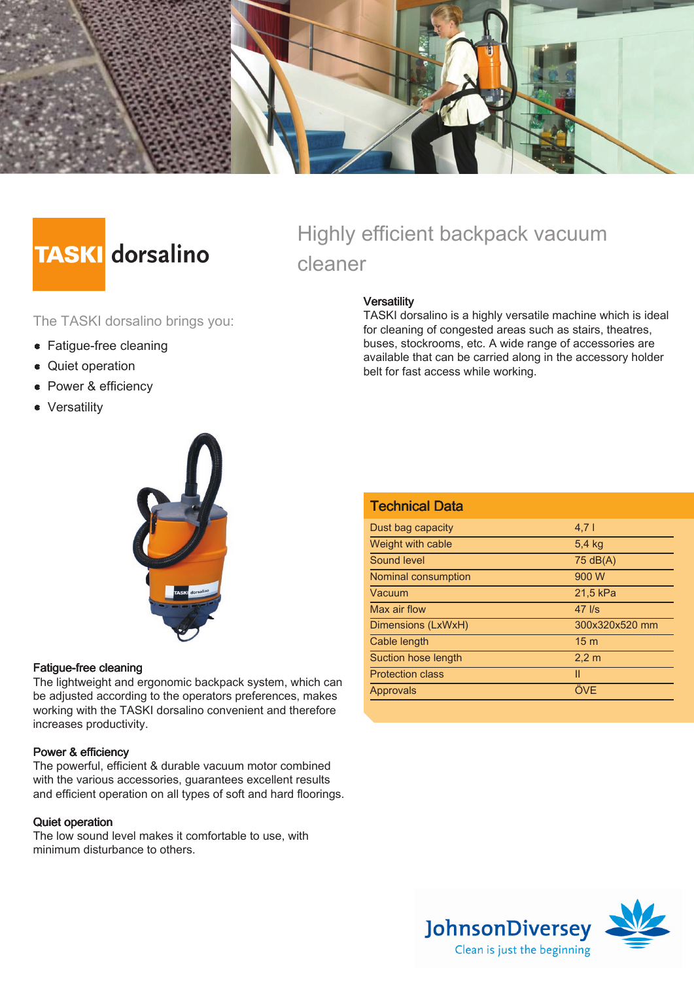

# **TASKI** dorsalino

The TASKI dorsalino brings you:

- Fatigue-free cleaning
- Quiet operation
- Power & efficiency
- Versatility

## Highly efficient backpack vacuum cleaner

#### **Versatility**

TASKI dorsalino is a highly versatile machine which is ideal for cleaning of congested areas such as stairs, theatres, buses, stockrooms, etc. A wide range of accessories are available that can be carried along in the accessory holder belt for fast access while working.



#### Fatigue-free cleaning

The lightweight and ergonomic backpack system, which can be adjusted according to the operators preferences, makes working with the TASKI dorsalino convenient and therefore increases productivity.

#### Power & efficiency

The powerful, efficient & durable vacuum motor combined with the various accessories, guarantees excellent results and efficient operation on all types of soft and hard floorings.

#### Quiet operation

The low sound level makes it comfortable to use, with minimum disturbance to others.

| <b>Technical Data</b>   |                    |
|-------------------------|--------------------|
| Dust bag capacity       | $4,7$              |
| Weight with cable       | 5.4 kg             |
| Sound level             | $75 \text{ dB}(A)$ |
| Nominal consumption     | 900 W              |
| Vacuum                  | 21,5 kPa           |
| Max air flow            | $47$ $\text{I/s}$  |
| Dimensions (LxWxH)      | 300x320x520 mm     |
| Cable length            | 15 <sub>m</sub>    |
| Suction hose length     | 2.2 <sub>m</sub>   |
| <b>Protection class</b> | Ш                  |
| Approvals               | ÖVE                |